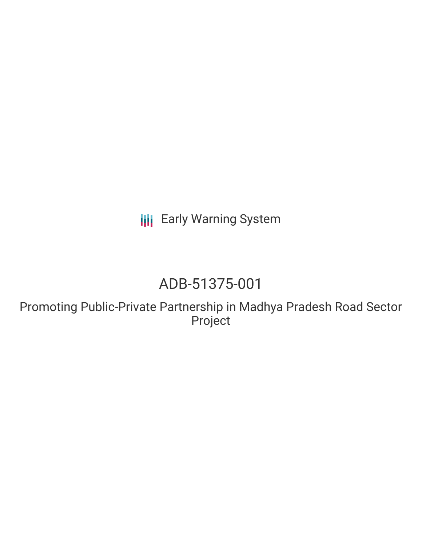**III** Early Warning System

# ADB-51375-001

Promoting Public-Private Partnership in Madhya Pradesh Road Sector Project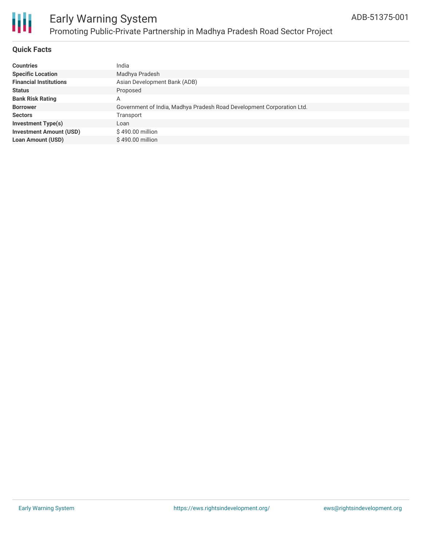

# Ш

# Early Warning System Promoting Public-Private Partnership in Madhya Pradesh Road Sector Project

### **Quick Facts**

| <b>Countries</b>               | India                                                                 |
|--------------------------------|-----------------------------------------------------------------------|
| <b>Specific Location</b>       | Madhya Pradesh                                                        |
| <b>Financial Institutions</b>  | Asian Development Bank (ADB)                                          |
| <b>Status</b>                  | Proposed                                                              |
| <b>Bank Risk Rating</b>        | Α                                                                     |
| <b>Borrower</b>                | Government of India, Madhya Pradesh Road Development Corporation Ltd. |
| <b>Sectors</b>                 | Transport                                                             |
| <b>Investment Type(s)</b>      | Loan                                                                  |
| <b>Investment Amount (USD)</b> | $$490.00$ million                                                     |
| <b>Loan Amount (USD)</b>       | \$490.00 million                                                      |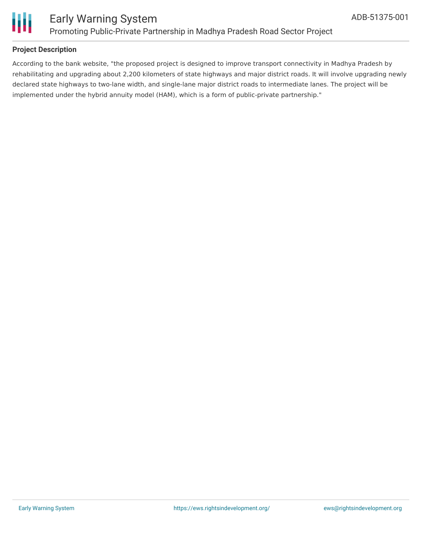

### **Project Description**

According to the bank website, "the proposed project is designed to improve transport connectivity in Madhya Pradesh by rehabilitating and upgrading about 2,200 kilometers of state highways and major district roads. It will involve upgrading newly declared state highways to two-lane width, and single-lane major district roads to intermediate lanes. The project will be implemented under the hybrid annuity model (HAM), which is a form of public-private partnership."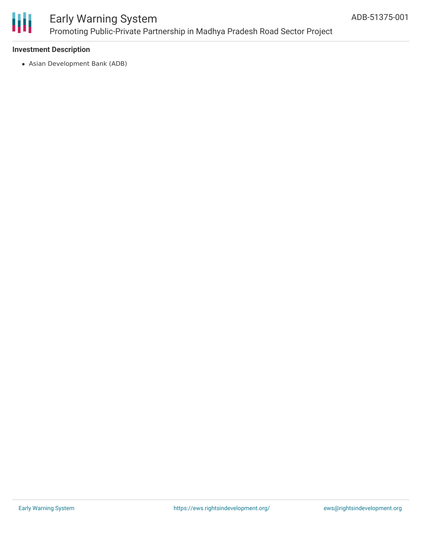

# Early Warning System Promoting Public-Private Partnership in Madhya Pradesh Road Sector Project

### **Investment Description**

Asian Development Bank (ADB)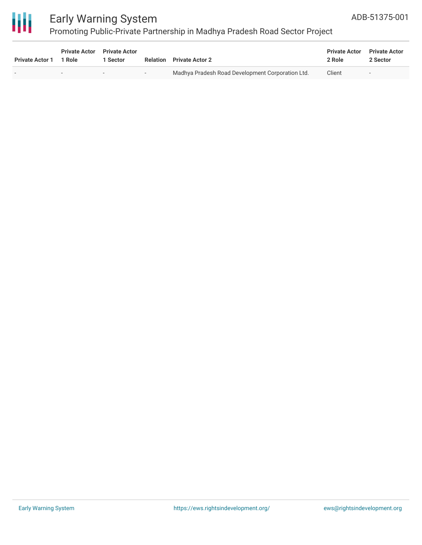

# Early Warning System

# Promoting Public-Private Partnership in Madhya Pradesh Road Sector Project

| <b>Private Actor 1</b>   | <b>Private Actor</b><br>1 Role | <b>Private Actor</b><br>1 Sector | <b>Relation</b> | <b>Private Actor 2</b>                           | <b>Private Actor</b><br>2 Role | <b>Private Actor</b><br>2 Sector |
|--------------------------|--------------------------------|----------------------------------|-----------------|--------------------------------------------------|--------------------------------|----------------------------------|
| $\overline{\phantom{0}}$ | $\overline{\phantom{a}}$       | $\overline{\phantom{a}}$         | $\sim$          | Madhya Pradesh Road Development Corporation Ltd. | Client                         | $\overline{\phantom{a}}$         |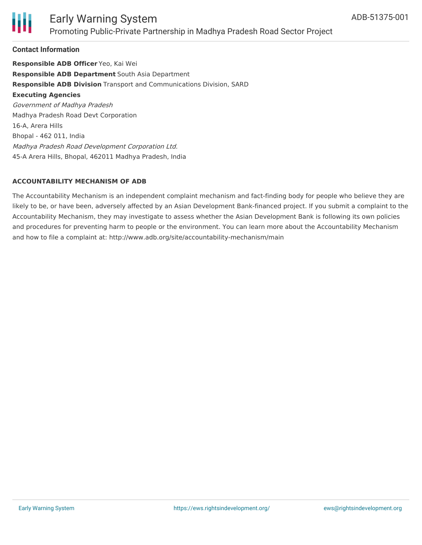

### Early Warning System Promoting Public-Private Partnership in Madhya Pradesh Road Sector Project

### **Contact Information**

**Responsible ADB Officer** Yeo, Kai Wei **Responsible ADB Department** South Asia Department **Responsible ADB Division** Transport and Communications Division, SARD **Executing Agencies** Government of Madhya Pradesh Madhya Pradesh Road Devt Corporation 16-A, Arera Hills Bhopal - 462 011, India Madhya Pradesh Road Development Corporation Ltd. 45-A Arera Hills, Bhopal, 462011 Madhya Pradesh, India

### **ACCOUNTABILITY MECHANISM OF ADB**

The Accountability Mechanism is an independent complaint mechanism and fact-finding body for people who believe they are likely to be, or have been, adversely affected by an Asian Development Bank-financed project. If you submit a complaint to the Accountability Mechanism, they may investigate to assess whether the Asian Development Bank is following its own policies and procedures for preventing harm to people or the environment. You can learn more about the Accountability Mechanism and how to file a complaint at: http://www.adb.org/site/accountability-mechanism/main